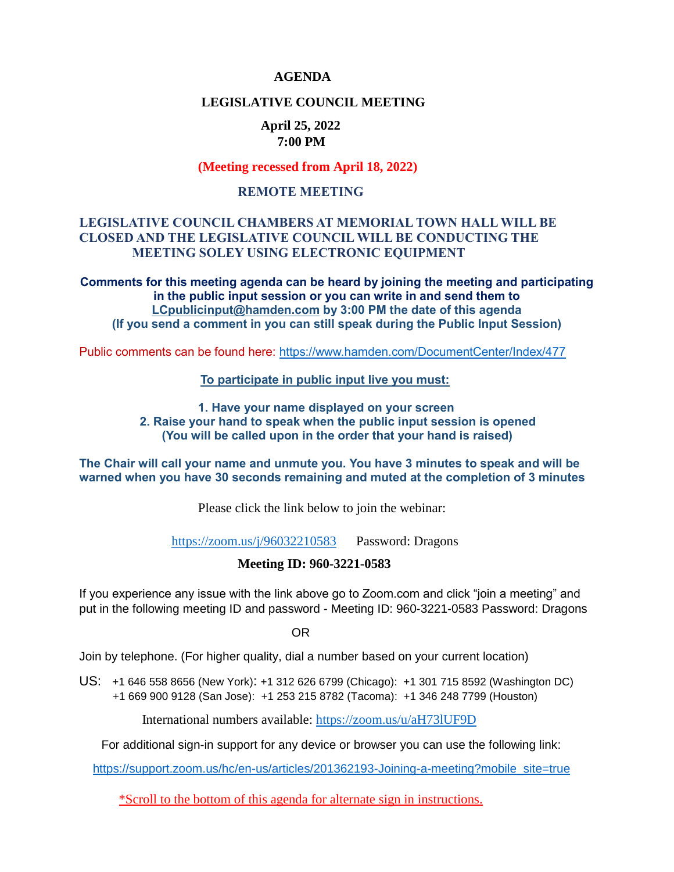#### **AGENDA**

## **LEGISLATIVE COUNCIL MEETING**

# **April 25, 2022 7:00 PM**

#### **(Meeting recessed from April 18, 2022)**

#### **REMOTE MEETING**

## **LEGISLATIVE COUNCIL CHAMBERS AT MEMORIAL TOWN HALL WILL BE CLOSED AND THE LEGISLATIVE COUNCIL WILL BE CONDUCTING THE MEETING SOLEY USING ELECTRONIC EQUIPMENT**

**Comments for this meeting agenda can be heard by joining the meeting and participating in the public input session or you can write in and send them to [LCpublicinput@hamden.com](mailto:LCpublicinput@hamden.com) by 3:00 PM the date of this agenda (If you send a comment in you can still speak during the Public Input Session)**

Public comments can be found here:<https://www.hamden.com/DocumentCenter/Index/477>

#### **To participate in public input live you must:**

**1. Have your name displayed on your screen 2. Raise your hand to speak when the public input session is opened (You will be called upon in the order that your hand is raised)** 

**The Chair will call your name and unmute you. You have 3 minutes to speak and will be warned when you have 30 seconds remaining and muted at the completion of 3 minutes**

Please click the link below to join the webinar:

<https://zoom.us/j/96032210583>Password: Dragons

## **Meeting ID: 960-3221-0583**

If you experience any issue with the link above go to Zoom.com and click "join a meeting" and put in the following meeting ID and password - Meeting ID: 960-3221-0583 Password: Dragons

OR

Join by telephone. (For higher quality, dial a number based on your current location)

US: [+1 646 558 8656 \(New York\)](tel:+16465588656): [+1 312 626 6799 \(Chicago\):](tel:+13126266799) [+1 301 715 8592 \(Washington DC\)](tel:+13017158592) +1 669 900 9128 (San Jose): [+1 253 215 8782 \(Tacoma\):](tel:+12532158782) [+1 346 248 7799 \(Houston\)](tel:+13462487799)

International numbers available:<https://zoom.us/u/aH73lUF9D>

For additional sign-in support for any device or browser you can use the following link:

[https://support.zoom.us/hc/en-us/articles/201362193-Joining-a-meeting?mobile\\_site=true](https://support.zoom.us/hc/en-us/articles/201362193-Joining-a-meeting?mobile_site=true)

\*Scroll to the bottom of this agenda for alternate sign in instructions.